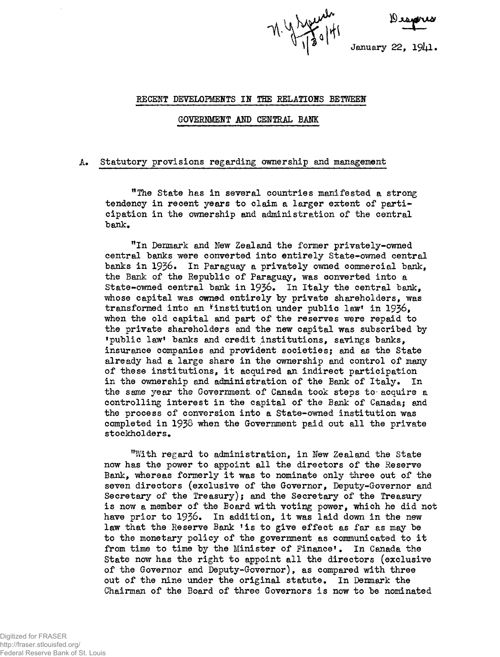M. Y. Welliam<br>January 22

#### **RECENT DEVELOPMENTS IH THE RELATIONS BETWEEN**

#### **GOVERNMENT AND CENTRAL BANK**

### **A. Statutory provisions regarding ownership and management**

**"The State has in several countries manifested a strong tendency in recent years to claim a larger extent of participation in the ownership and administration of the central "bank.**

**MIn Denmark and Hew Zealand the former privately-owned central banks were converted into entirely State-owned central banks in 1936. In Paraguay a privately owned commercial bank, the Bank of the Republic of Paraguay, was converted into a State-owned central bank in 1936. In Italy the central bank, whose capital was owned entirely by private shareholders, was transformed into an ^institution under public law' in 1936\* when the old capital and part of the reserves were repaid to the private shareholders and the new capital was subscribed by 'public law1 banks and credit institutions, savings banks, insurance companies and provident societies; and as the State already had a large share in the ownership and control of many of these institutions, it acquired an indirect participation in the ownership and administration of the Bank of Italy. In the same year the Government of Canada took steps to- acquire a controlling interest in the capital of the Bank of Canada; and the process of conversion into a State-owned institution was completed in 193§ when the Government paid out all the private stockholders.**

**"Tilth regard to administration, in New Zealand the State now has the power to appoint all the directors of the Reserve Bank, whereas formerly it was to nominate only three out of the seven directors (exclusive of the Governor, Deputy-Governor and Secretary of the Treasury); and the Secretary of the Treasury is now a member of the Board with voting power, which he did not have prior to 1936. In addition, it was laid down in the new law that the Reserve Bank 'is to give effect as far as may be to the monetary policy of the government as communicated to it from time to time by the Minister of Finance\*. In Canada the State now has the right to appoint all the directors (exclusive of the Governor and Deputy-Governor), as compared with three out of the nine under the original statute. In Denmark the Chairman of the Board of three Governors is now to be nominated**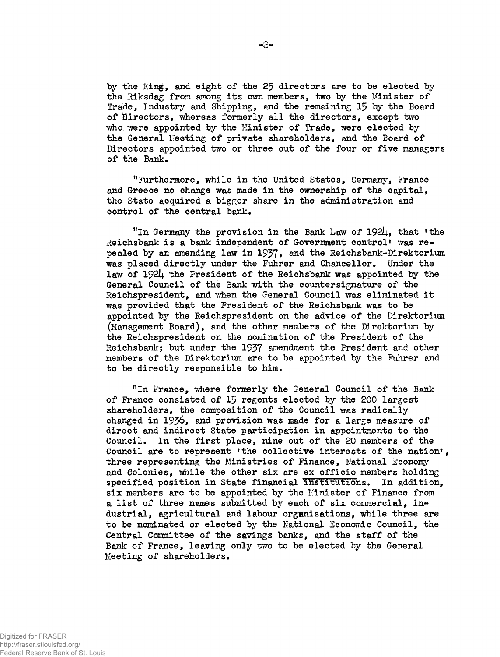**by the King, and eight of the 25 directors ere to be elected by the Riksdag from among its ovm members, two by the Minister of Trade, Industry and Shipping, and the remaining 15 by the Board of directors, whereas formerly all the directors, except two** who were appointed by the Minister of Trade, were elected by **the General Keeting of private shareholders, and the Board of Directors appointed two or three out of the four or five managers of the Bank.**

**"Furthermore, while in the United States, Germany, France and Greece no change was made in the ownership of the capital, the State acquired a bigger share in the administration and control of the central ban!:.**

"In Germany the provision in the Bank Law of 1924, that 'the **Reichsbank is a bank independent of Government control\* was repealed by an amending law in 1937» and the Reichsbank-Direktorium was placed directly under the Fuhrer and Chancellor. Under the law of I**92**I**4**. the President of the Reichsbank was appointed by the General Council of the Bank with the countersignature of the Reichspresident, and when the General Council was eliminated it was provided that the President of the Reichsbank was to be appointed by the Reichspresident on the advice of the Direktorium (Management Board), and the other members of the Direktorium by the Reichspresident on the nomination of the President of the Reichsbank; but 'under the 1937 amendment the President and other members of the Direktorium are to be appointed by the Fuhrer and to be directly responsible to him.**

"In France, where formerly the General Council of the Bank **of France consisted of 15 regents elected by the 200 largest shareholders, the composition of the Council was radically changed in 1936, and provision was made for a large measure of direct and indirect State participation in appointments to the Council. In the first place, nine out of the 20 members of the Council are to represent 'the collective interests of the nation', three representing the Ministries of Finance, National Sconomy and Colonies, while the other six are ex officio members holding specified position in State financial institutions. In addition, six members are to be appointed by the I£inister of Finance from a list of three names submitted by each of six commercial, industrial, agricultural and labour organisations, while three are to be nominated or elected by the National Economic Council, the Central Committee of the savings banks, and the staff of the Bank of France, leaving only two to be elected by the General Meeting of shareholders.**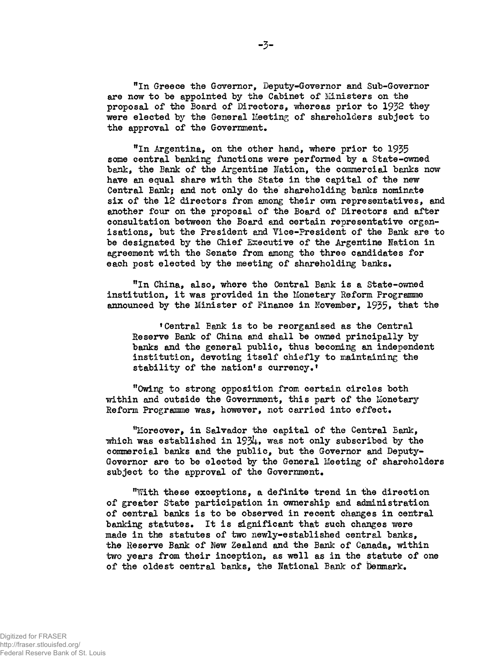**"In Greece the Governor, Deputy-Governor and Sub-Governor are now to be appointed by the Cabinet of Ministers on the proposal of the Board of Directors, whereas prior to 1932 they were elected by the General Meeting of shareholders subject to the approval of the Government.**

"In Argentina, on the other hand, where prior to 1935 **some central banking functions were performed by a State-owned bank, the Bank of the Argentine Nation, the commercial banks now have an equal share with the State in the capital of the new Central Bank; and not only do the shareholding banks nominate six of the 12 directors from among their own representatives, and another four on the proposal of the Board of Directors and after consultation between the Board and certain representative organisations, but the President and Vice-President of the Bank are to be designated by the Chief Executive of the Argentine Nation in agreement with the Senate from among the three candidates for each post elected by the meeting of shareholding banks.**

**"In China, also, where the Central Bank is a State-owned institution, it was provided in the Monetary Reform Programme announced by the Minister of Finance in November, 1935, that the** 

**'Central Bank is to be reorganised as the Central Reserve Bank of China and shall be owned principally by banks and the general public, thus becoming an independent institution, devoting itself chiefly to maintaining the stability of the nation's currency.\***

**"Owing to strong opposition from certain circles both within and outside the Government, this part of the Monetary Reform Programme was, however, not carried into effect.**

**"Moreover, in Salvador the capital of the Central Bank, which was established in 1934» was not only subscribed by the commercial banks and the public, but the Governor and Deputy-Governor are to be elected by the General Meeting of shareholders subject to the approval of the Government.**

**"With these exceptions, a definite trend in the direction of greater State participation in ownership and administration of central banks is to be observed in recent changes in central banking statutes. It is significant that such changes were made in the statutes of two newly-established central banks, the Reserve Bank of New Zealand and the Bank of Canada, within two years from their inception, as well as in the statute of one of the oldest central banks, the National Bank of Denmark.**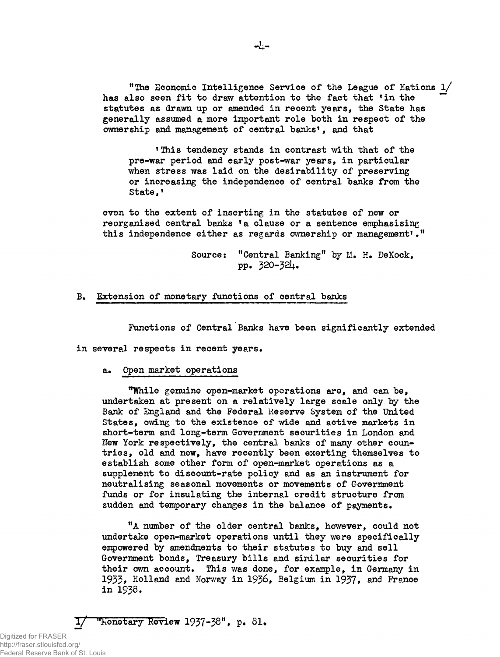**"The Economic Intelligence Service of the League of Nations l/ has also seen fit to** draw **attention to the fact that 'in the " statutes as drawn up or amended in recent years, the State has generally assumed a more important role both in respect of the ownership and management of central banks', and that**

**'This tendency stands in contrast with that of the pre-war period and early post-war years, in particular when stress was laid on the desirability of preserving or increasing the independence of central banks from the State,'**

**even to the extent of inserting in the statutes of new or reorganised central banks 'a clause or a sentence emphasising this independence either as regards ownership or management\*."**

> **Source: "Central Banking" by H. H. DeKock,** pp. 320- 32J+.

**B. Extension of monetary functions of central banks**

**Functions of Central Banks have been significantly extended**

**in several respects in recent years,**

# **a. Open market operations**

**''TOxile genuine open-market operations are, and can be, undertaken at present on a relatively large scale only by the Bank of England and the Federal Reserve System of the United States, owing to the existence of wide and active markets in short-term and long-term Government securities in London and** New York respectively, the central banks of many other coun**tries, old and new, have recently been exerting themselves to establish some other form of open-market operations as a supplement to discount-rate policy and as an instrument for neutralising seasonal movements or movements of Government funds or for insulating the internal credit structure from sudden and temporary changes in the balance of payments.**

**"A number of the older central banks, however, could not undertake open-market operations until they were specifically empowered by amendments to their statutes to buy and sell Government bonds, Treasury bills and similar securities for their own account. This was done, for example, in Germany in** 1933, Holland and Norway in 1936, Belgium in 1937, and France **in 1938.**

*T/* **''Monetary Review 1937~38,,» p« SI.**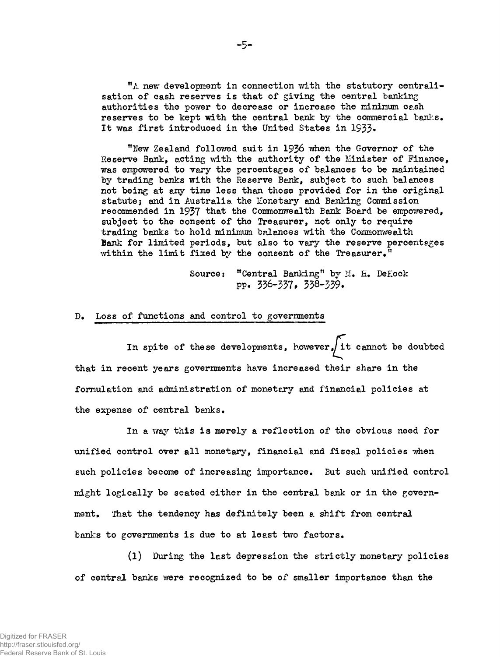**"A new development in connection with the statutory centralisation of cash reservos is that of giving the central banking authorities the power to decrease or increase the minimum cash reserves to be kept with the central bank by the commercial banks. It was first introduced in the United States in 1933\***

**"Hew Zealand followed suit in 1936 when the Governor of the Reserve Bank, acting with the authority of the Minister of Finance, was empowered to vary the percentages of balances to be maintained by trading banks with the Reserve Bank, subject to such balances not being at any time less than those provided for in the original statute; and in Australia the Monetary and Banking Commission recommended in 1937 that the Commonwealth Bank Board be empowered, subject to the consent of the Treasurer, not only to require trading banks to hold minimum balances with the Commonwealth Bank for limited periods, but also to vary the reserve percentages within the limit fixed by the consent of the Treasurer."**

> **Source: "Central Banking" by M. E. DeEock pp. 336-337, 338-339.**

# **D. Loss of functions and control to governments**

**In spite of these developments, however** *J* **it cannot be doubted that in recent years governments have increased their share in the formulation and administration of monetary and financial policies at the expense of central banks.**

**unified control over all monetary, financial end fiscal policies when such policies become of increasing importance. But such unified control might logically be seated either in the central bank or in the government. That the tendency has definitely been a shift from central banks to governments is due to at least two factors. In a way this is merely a reflection of the obvious need for**

**(l) During the last depression the strictly monetary policies of central banks were recognized to be of smaller importance than the**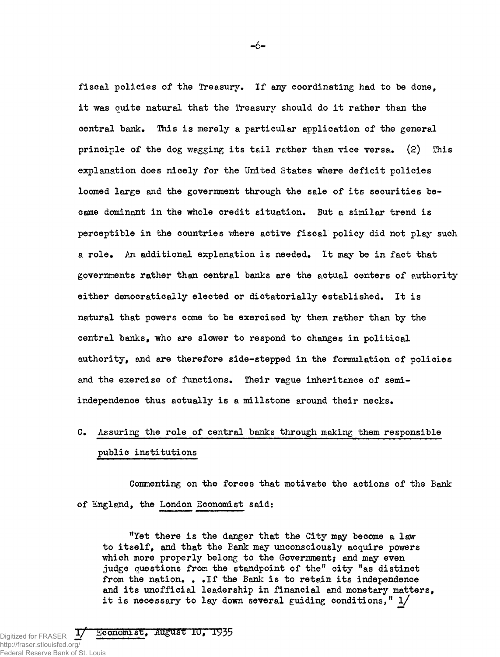**fiscal policies of the Treasury. If any coordinating had to be done, it was quite natural that the Treasury should do it rather than the central bank. This is merely a particular application of the general principle of the dog wagging its tail rather than vice versa. (2) This explanation does nicely for the United States where deficit policies loomed large and the government through the sale of its securities became dominant in the whole credit situation. But a similar trend is perceptible in the countries "where active fiscal policy did not play such a role. An additional explanation is needed. It may be in fact that governments rather than central banks are the actual centers of authority either democratically elected or dictatorially established. It is natural that powers come to be exercised by them rather than by the central banks, who are slower to respond to changes in political authority, and are therefore side-stepped in the formulation of policies and the exercise of functions. Their vague inheritance of semiindependence thus actually is a millstone around their necks.**

# **C. Assuring the role of central banks through making them responsible public institutions**

**Commenting on the forces that motivate the actions of the Bank of England, the London Economist said:**

**"Yet there is the danger that the City may become a law to itself, and that the Bank may unconsciously acquire powers which more properly belong to the Government} and may even judge questions from the standpoint of the" city "as distinct from the nation. . .If the Bank is to retain its independence and its unofficial leadership in financial and monetary matters, it is necessary to lay down several guiding conditions," l/**

**T/ Economist, AugUst 10, 1935**

Digitized for FRASER  $\frac{1}{2}$ http://fraser.stlouisfed.org/ Federal Reserve Bank of St. Louis